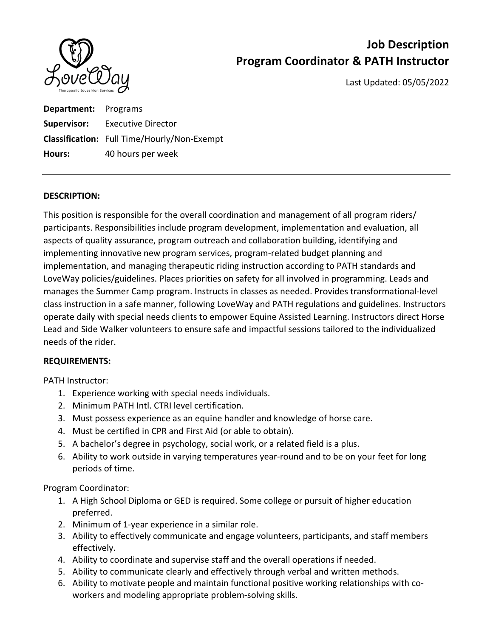

# **Job Description Program Coordinator & PATH Instructor**

Last Updated: 05/05/2022

**Department:** Programs **Supervisor:** Executive Director **Classification:** Full Time/Hourly/Non‐Exempt **Hours:** 40 hours per week

### **DESCRIPTION:**

This position is responsible for the overall coordination and management of all program riders/ participants. Responsibilities include program development, implementation and evaluation, all aspects of quality assurance, program outreach and collaboration building, identifying and implementing innovative new program services, program‐related budget planning and implementation, and managing therapeutic riding instruction according to PATH standards and LoveWay policies/guidelines. Places priorities on safety for all involved in programming. Leads and manages the Summer Camp program. Instructs in classes as needed. Provides transformational‐level class instruction in a safe manner, following LoveWay and PATH regulations and guidelines. Instructors operate daily with special needs clients to empower Equine Assisted Learning. Instructors direct Horse Lead and Side Walker volunteers to ensure safe and impactful sessions tailored to the individualized needs of the rider.

### **REQUIREMENTS:**

PATH Instructor:

- 1. Experience working with special needs individuals.
- 2. Minimum PATH Intl. CTRI level certification.
- 3. Must possess experience as an equine handler and knowledge of horse care.
- 4. Must be certified in CPR and First Aid (or able to obtain).
- 5. A bachelor's degree in psychology, social work, or a related field is a plus.
- 6. Ability to work outside in varying temperatures year‐round and to be on your feet for long periods of time.

Program Coordinator:

- 1. A High School Diploma or GED is required. Some college or pursuit of higher education preferred.
- 2. Minimum of 1‐year experience in a similar role.
- 3. Ability to effectively communicate and engage volunteers, participants, and staff members effectively.
- 4. Ability to coordinate and supervise staff and the overall operations if needed.
- 5. Ability to communicate clearly and effectively through verbal and written methods.
- 6. Ability to motivate people and maintain functional positive working relationships with co‐ workers and modeling appropriate problem‐solving skills.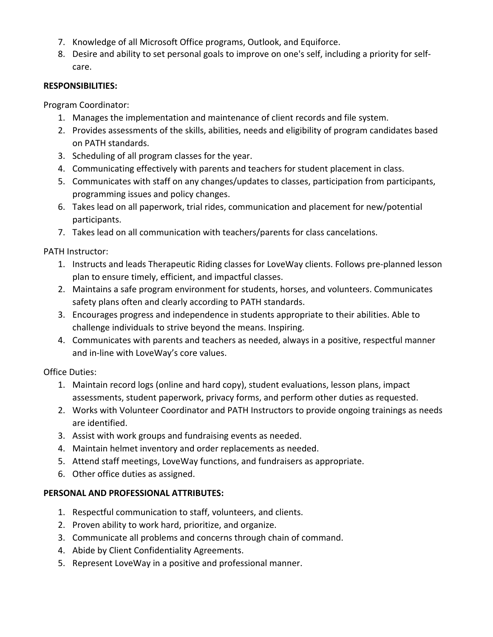- 7. Knowledge of all Microsoft Office programs, Outlook, and Equiforce.
- 8. Desire and ability to set personal goals to improve on one's self, including a priority for selfcare.

## **RESPONSIBILITIES:**

Program Coordinator:

- 1. Manages the implementation and maintenance of client records and file system.
- 2. Provides assessments of the skills, abilities, needs and eligibility of program candidates based on PATH standards.
- 3. Scheduling of all program classes for the year.
- 4. Communicating effectively with parents and teachers for student placement in class.
- 5. Communicates with staff on any changes/updates to classes, participation from participants, programming issues and policy changes.
- 6. Takes lead on all paperwork, trial rides, communication and placement for new/potential participants.
- 7. Takes lead on all communication with teachers/parents for class cancelations.

PATH Instructor:

- 1. Instructs and leads Therapeutic Riding classes for LoveWay clients. Follows pre‐planned lesson plan to ensure timely, efficient, and impactful classes.
- 2. Maintains a safe program environment for students, horses, and volunteers. Communicates safety plans often and clearly according to PATH standards.
- 3. Encourages progress and independence in students appropriate to their abilities. Able to challenge individuals to strive beyond the means. Inspiring.
- 4. Communicates with parents and teachers as needed, always in a positive, respectful manner and in‐line with LoveWay's core values.

Office Duties:

- 1. Maintain record logs (online and hard copy), student evaluations, lesson plans, impact assessments, student paperwork, privacy forms, and perform other duties as requested.
- 2. Works with Volunteer Coordinator and PATH Instructors to provide ongoing trainings as needs are identified.
- 3. Assist with work groups and fundraising events as needed.
- 4. Maintain helmet inventory and order replacements as needed.
- 5. Attend staff meetings, LoveWay functions, and fundraisers as appropriate.
- 6. Other office duties as assigned.

## **PERSONAL AND PROFESSIONAL ATTRIBUTES:**

- 1. Respectful communication to staff, volunteers, and clients.
- 2. Proven ability to work hard, prioritize, and organize.
- 3. Communicate all problems and concerns through chain of command.
- 4. Abide by Client Confidentiality Agreements.
- 5. Represent LoveWay in a positive and professional manner.